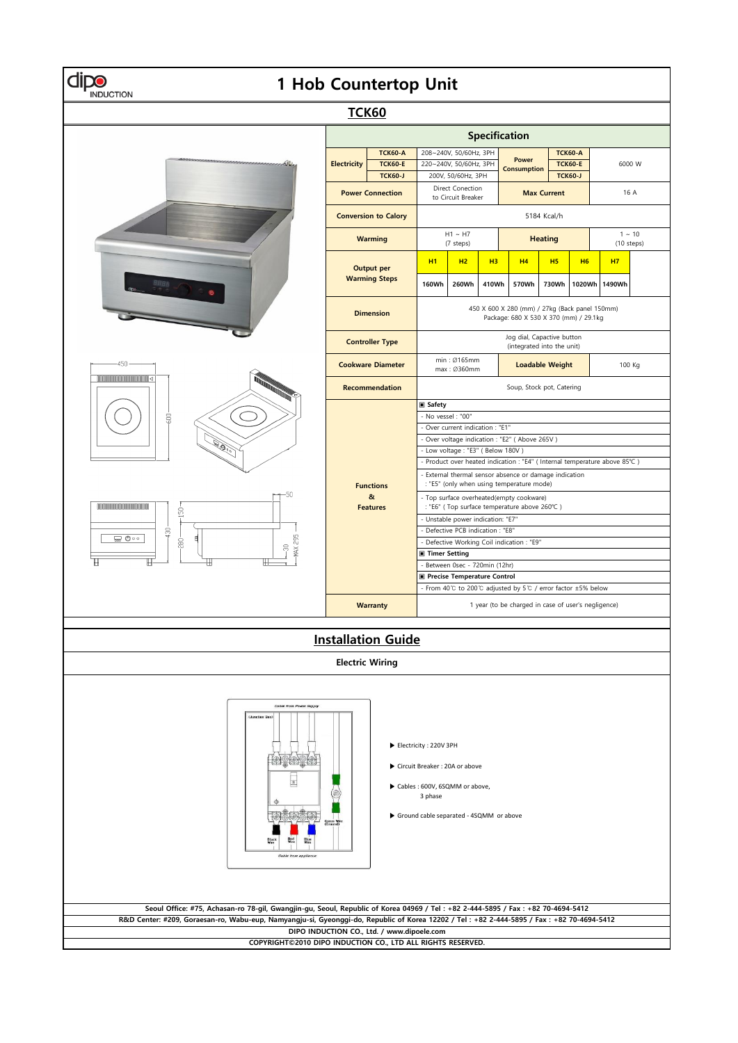| 1 Hob Countertop Unit<br><b>INDUCTION</b>                                                                                                                                                                                                                                    |                                                                                                                                    |                                                                                                     |                                                                                          |                                                                                          |       |                                    |                |                                                    |                        |  |  |  |
|------------------------------------------------------------------------------------------------------------------------------------------------------------------------------------------------------------------------------------------------------------------------------|------------------------------------------------------------------------------------------------------------------------------------|-----------------------------------------------------------------------------------------------------|------------------------------------------------------------------------------------------|------------------------------------------------------------------------------------------|-------|------------------------------------|----------------|----------------------------------------------------|------------------------|--|--|--|
| <b>TCK60</b>                                                                                                                                                                                                                                                                 |                                                                                                                                    |                                                                                                     |                                                                                          |                                                                                          |       |                                    |                |                                                    |                        |  |  |  |
| Specification                                                                                                                                                                                                                                                                |                                                                                                                                    |                                                                                                     |                                                                                          |                                                                                          |       |                                    |                |                                                    |                        |  |  |  |
|                                                                                                                                                                                                                                                                              | <b>TCK60-A</b><br><b>Electricity</b><br><b>TCK60-E</b><br><b>TCK60-J</b><br><b>Power Connection</b><br><b>Conversion to Calory</b> |                                                                                                     | 208~240V, 50/60Hz, 3PH<br>220~240V, 50/60Hz, 3PH<br>200V, 50/60Hz, 3PH                   |                                                                                          |       | <b>Power</b><br><b>Consumption</b> |                | <b>TCK60-A</b><br><b>TCK60-E</b><br><b>TCK60-J</b> | 6000 W                 |  |  |  |
|                                                                                                                                                                                                                                                                              |                                                                                                                                    |                                                                                                     | Direct Conection<br>to Circuit Breaker                                                   |                                                                                          |       | <b>Max Current</b>                 |                |                                                    | 16 A                   |  |  |  |
|                                                                                                                                                                                                                                                                              |                                                                                                                                    |                                                                                                     | 5184 Kcal/h                                                                              |                                                                                          |       |                                    |                |                                                    |                        |  |  |  |
|                                                                                                                                                                                                                                                                              | <b>Warming</b>                                                                                                                     |                                                                                                     | $H1 \sim H7$<br>(7 steps)                                                                |                                                                                          |       | <b>Heating</b>                     |                |                                                    | $1 - 10$<br>(10 steps) |  |  |  |
|                                                                                                                                                                                                                                                                              | <b>Output per</b><br><b>Warming Steps</b>                                                                                          |                                                                                                     | <b>H1</b>                                                                                | H2                                                                                       | H3    | H <sub>4</sub>                     | H <sub>5</sub> | <b>H6</b>                                          | <b>H7</b>              |  |  |  |
|                                                                                                                                                                                                                                                                              |                                                                                                                                    |                                                                                                     | 160Wh                                                                                    | 260Wh                                                                                    | 410Wh | 570Wh                              | 730Wh          | 1020Wh                                             | 1490Wh                 |  |  |  |
|                                                                                                                                                                                                                                                                              | <b>Dimension</b><br><b>Controller Type</b>                                                                                         |                                                                                                     |                                                                                          | 450 X 600 X 280 (mm) / 27kg (Back panel 150mm)<br>Package: 680 X 530 X 370 (mm) / 29.1kg |       |                                    |                |                                                    |                        |  |  |  |
|                                                                                                                                                                                                                                                                              |                                                                                                                                    |                                                                                                     |                                                                                          | Jog dial, Capactive button<br>(integrated into the unit)<br>min: Ø165mm                  |       |                                    |                |                                                    |                        |  |  |  |
| $-450 -$<br><b>MOODORMOODORMOODI</b><br>⊪l⊲                                                                                                                                                                                                                                  |                                                                                                                                    | <b>Cookware Diameter</b><br><b>Recommendation</b>                                                   |                                                                                          | <b>Loadable Weight</b><br>max: Ø360mm<br>Soup, Stock pot, Catering                       |       |                                    |                |                                                    | 100 Kg                 |  |  |  |
| 600<br>i Sorg<br>150                                                                                                                                                                                                                                                         |                                                                                                                                    |                                                                                                     | <b>■ Safety</b>                                                                          |                                                                                          |       |                                    |                |                                                    |                        |  |  |  |
|                                                                                                                                                                                                                                                                              |                                                                                                                                    |                                                                                                     | - No vessel : "00"<br>- Over current indication : "E1"                                   |                                                                                          |       |                                    |                |                                                    |                        |  |  |  |
|                                                                                                                                                                                                                                                                              |                                                                                                                                    |                                                                                                     | Over voltage indication : "E2" ( Above 265V )<br>- Low voltage: "E3" ( Below 180V )      |                                                                                          |       |                                    |                |                                                    |                        |  |  |  |
|                                                                                                                                                                                                                                                                              |                                                                                                                                    |                                                                                                     | - Product over heated indication : "E4" ( Internal temperature above 85°C )              |                                                                                          |       |                                    |                |                                                    |                        |  |  |  |
|                                                                                                                                                                                                                                                                              | <b>Functions</b>                                                                                                                   | - External thermal sensor absence or damage indication<br>: "E5" (only when using temperature mode) |                                                                                          |                                                                                          |       |                                    |                |                                                    |                        |  |  |  |
|                                                                                                                                                                                                                                                                              | &<br><b>Features</b>                                                                                                               |                                                                                                     | - Top surface overheated(empty cookware)<br>: "E6" (Top surface temperature above 260°C) |                                                                                          |       |                                    |                |                                                    |                        |  |  |  |
|                                                                                                                                                                                                                                                                              |                                                                                                                                    |                                                                                                     | - Unstable power indication: "E7"<br>- Defective PCB indication : "E8"                   |                                                                                          |       |                                    |                |                                                    |                        |  |  |  |
| 430<br>MAX 295<br>— 0ం<br>E<br>-280<br>8<br>Ш                                                                                                                                                                                                                                |                                                                                                                                    |                                                                                                     | - Defective Working Coil indication : "E9"                                               |                                                                                          |       |                                    |                |                                                    |                        |  |  |  |
|                                                                                                                                                                                                                                                                              |                                                                                                                                    | <b>■ Timer Setting</b><br>- Between 0sec - 720min (12hr)                                            |                                                                                          |                                                                                          |       |                                    |                |                                                    |                        |  |  |  |
|                                                                                                                                                                                                                                                                              |                                                                                                                                    | Precise Temperature Control                                                                         |                                                                                          |                                                                                          |       |                                    |                |                                                    |                        |  |  |  |
|                                                                                                                                                                                                                                                                              |                                                                                                                                    |                                                                                                     | - From 40°C to 200°C adjusted by 5°C / error factor ±5% below                            |                                                                                          |       |                                    |                |                                                    |                        |  |  |  |
|                                                                                                                                                                                                                                                                              |                                                                                                                                    | <b>Warranty</b>                                                                                     | 1 year (to be charged in case of user's negligence)                                      |                                                                                          |       |                                    |                |                                                    |                        |  |  |  |
|                                                                                                                                                                                                                                                                              |                                                                                                                                    | <b>Installation Guide</b>                                                                           |                                                                                          |                                                                                          |       |                                    |                |                                                    |                        |  |  |  |
|                                                                                                                                                                                                                                                                              | <b>Electric Wiring</b>                                                                                                             |                                                                                                     |                                                                                          |                                                                                          |       |                                    |                |                                                    |                        |  |  |  |
| <b>Cable from Power Supply</b><br><b>CJunction Box</b><br>Electricity: 220V 3PH<br>Circuit Breaker: 20A or above<br>Cables : 600V, 6SQMM or above,<br>3 phase<br>Ground cable separated - 4SQMM or above<br>Cable from appliance                                             |                                                                                                                                    |                                                                                                     |                                                                                          |                                                                                          |       |                                    |                |                                                    |                        |  |  |  |
| Seoul Office: #75, Achasan-ro 78-gil, Gwangjin-gu, Seoul, Republic of Korea 04969 / Tel: +82 2-444-5895 / Fax: +82 70-4694-5412<br>R&D Center: #209, Goraesan-ro, Wabu-eup, Namyangju-si, Gyeonggi-do, Republic of Korea 12202 / Tel: +82 2-444-5895 / Fax: +82 70-4694-5412 |                                                                                                                                    |                                                                                                     |                                                                                          |                                                                                          |       |                                    |                |                                                    |                        |  |  |  |
|                                                                                                                                                                                                                                                                              |                                                                                                                                    | DIPO INDUCTION CO., Ltd. / www.dipoele.com                                                          |                                                                                          |                                                                                          |       |                                    |                |                                                    |                        |  |  |  |
| COPYRIGHT©2010 DIPO INDUCTION CO., LTD ALL RIGHTS RESERVED.                                                                                                                                                                                                                  |                                                                                                                                    |                                                                                                     |                                                                                          |                                                                                          |       |                                    |                |                                                    |                        |  |  |  |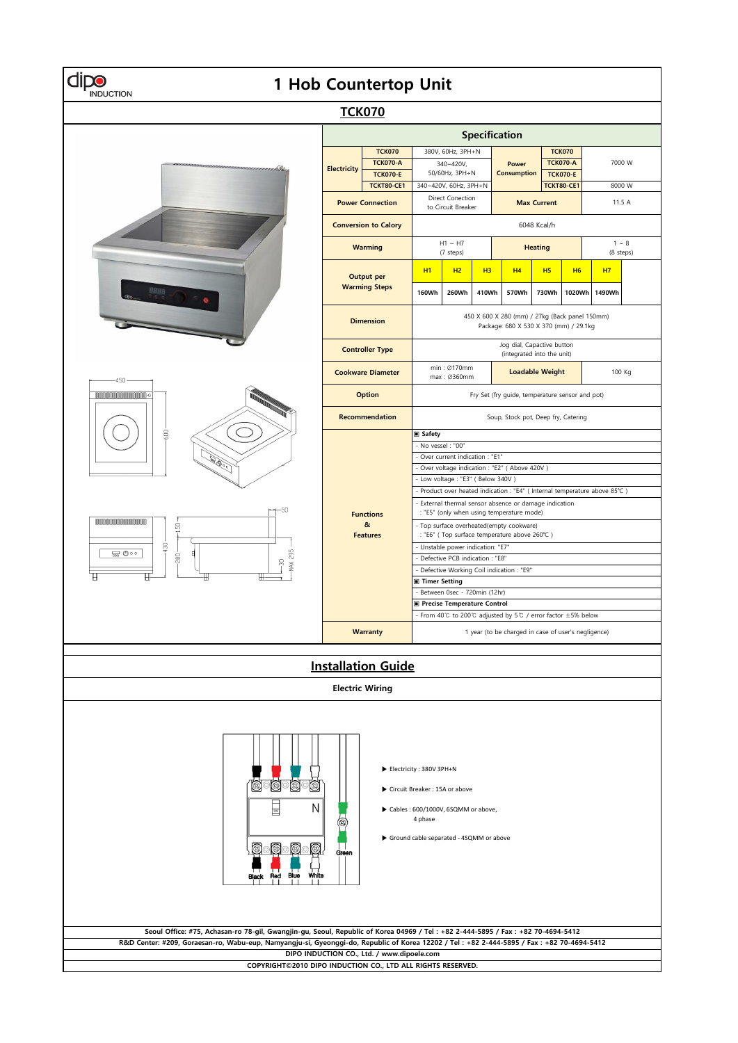## **1 Hob Countertop Unit**



**COPYRIGHT©2010 DIPO INDUCTION CO., LTD ALL RIGHTS RESERVED.**